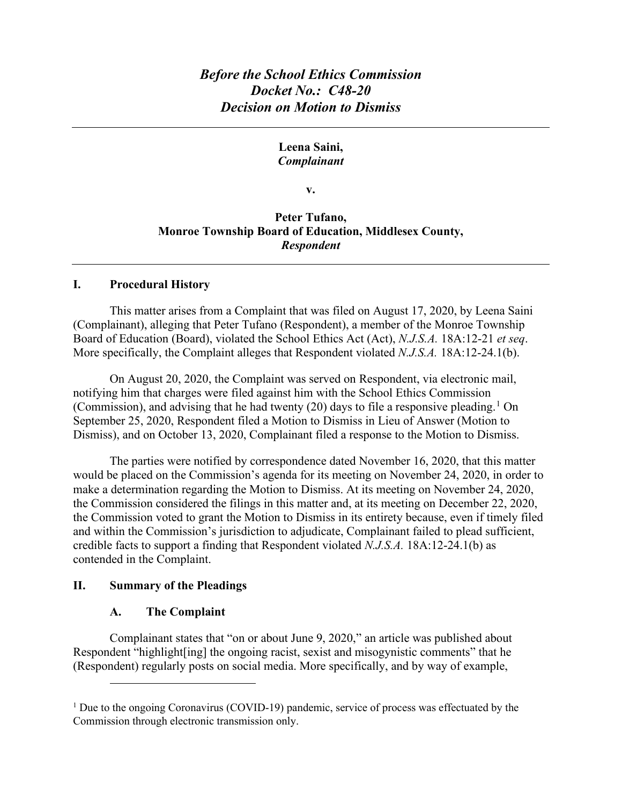# *Before the School Ethics Commission Docket No.: C48-20 Decision on Motion to Dismiss*

### **Leena Saini,**  *Complainant*

**v.** 

## **Peter Tufano, Monroe Township Board of Education, Middlesex County,**  *Respondent*

#### **I. Procedural History**

This matter arises from a Complaint that was filed on August 17, 2020, by Leena Saini (Complainant), alleging that Peter Tufano (Respondent), a member of the Monroe Township Board of Education (Board), violated the School Ethics Act (Act), *N.J.S.A.* 18A:12-21 *et seq*. More specifically, the Complaint alleges that Respondent violated *N.J.S.A.* 18A:12-24.1(b).

On August 20, 2020, the Complaint was served on Respondent, via electronic mail, notifying him that charges were filed against him with the School Ethics Commission (Commission), and advising that he had twenty (20) days to file a responsive pleading.<sup>1</sup> On September 25, 2020, Respondent filed a Motion to Dismiss in Lieu of Answer (Motion to Dismiss), and on October 13, 2020, Complainant filed a response to the Motion to Dismiss.

The parties were notified by correspondence dated November 16, 2020, that this matter would be placed on the Commission's agenda for its meeting on November 24, 2020, in order to make a determination regarding the Motion to Dismiss. At its meeting on November 24, 2020, the Commission considered the filings in this matter and, at its meeting on December 22, 2020, the Commission voted to grant the Motion to Dismiss in its entirety because, even if timely filed and within the Commission's jurisdiction to adjudicate, Complainant failed to plead sufficient, credible facts to support a finding that Respondent violated *N.J.S.A.* 18A:12-24.1(b) as contended in the Complaint.

#### **II. Summary of the Pleadings**

#### **A. The Complaint**

Complainant states that "on or about June 9, 2020," an article was published about Respondent "highlight[ing] the ongoing racist, sexist and misogynistic comments" that he (Respondent) regularly posts on social media. More specifically, and by way of example,

<sup>&</sup>lt;sup>1</sup> Due to the ongoing Coronavirus (COVID-19) pandemic, service of process was effectuated by the Commission through electronic transmission only.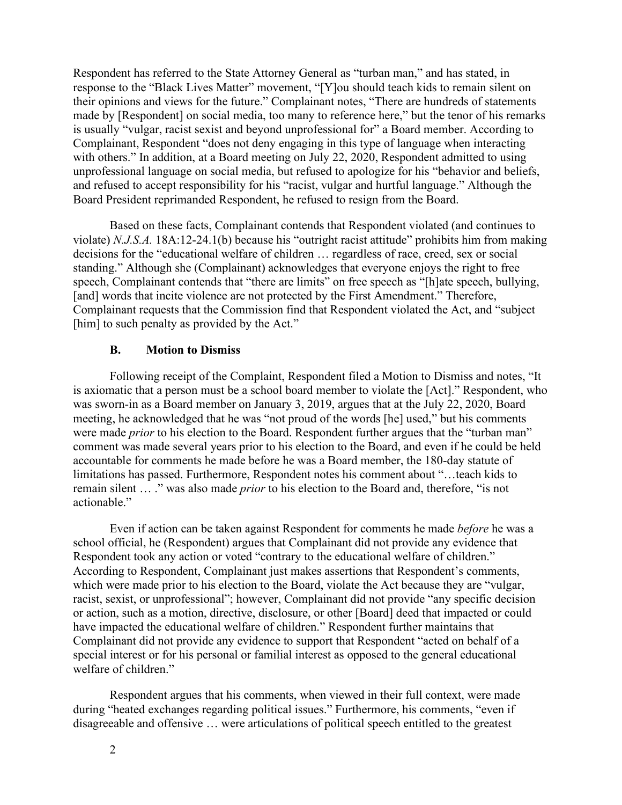Respondent has referred to the State Attorney General as "turban man," and has stated, in response to the "Black Lives Matter" movement, "[Y]ou should teach kids to remain silent on their opinions and views for the future." Complainant notes, "There are hundreds of statements made by [Respondent] on social media, too many to reference here," but the tenor of his remarks is usually "vulgar, racist sexist and beyond unprofessional for" a Board member. According to Complainant, Respondent "does not deny engaging in this type of language when interacting with others." In addition, at a Board meeting on July 22, 2020, Respondent admitted to using unprofessional language on social media, but refused to apologize for his "behavior and beliefs, and refused to accept responsibility for his "racist, vulgar and hurtful language." Although the Board President reprimanded Respondent, he refused to resign from the Board.

Based on these facts, Complainant contends that Respondent violated (and continues to violate) *N.J.S.A.* 18A:12-24.1(b) because his "outright racist attitude" prohibits him from making decisions for the "educational welfare of children … regardless of race, creed, sex or social standing." Although she (Complainant) acknowledges that everyone enjoys the right to free speech, Complainant contends that "there are limits" on free speech as "[h]ate speech, bullying, [and] words that incite violence are not protected by the First Amendment." Therefore, Complainant requests that the Commission find that Respondent violated the Act, and "subject [him] to such penalty as provided by the Act."

#### **B. Motion to Dismiss**

Following receipt of the Complaint, Respondent filed a Motion to Dismiss and notes, "It is axiomatic that a person must be a school board member to violate the [Act]." Respondent, who was sworn-in as a Board member on January 3, 2019, argues that at the July 22, 2020, Board meeting, he acknowledged that he was "not proud of the words [he] used," but his comments were made *prior* to his election to the Board. Respondent further argues that the "turban man" comment was made several years prior to his election to the Board, and even if he could be held accountable for comments he made before he was a Board member, the 180-day statute of limitations has passed. Furthermore, Respondent notes his comment about "…teach kids to remain silent … ." was also made *prior* to his election to the Board and, therefore, "is not actionable."

Even if action can be taken against Respondent for comments he made *before* he was a school official, he (Respondent) argues that Complainant did not provide any evidence that Respondent took any action or voted "contrary to the educational welfare of children." According to Respondent, Complainant just makes assertions that Respondent's comments, which were made prior to his election to the Board, violate the Act because they are "vulgar, racist, sexist, or unprofessional"; however, Complainant did not provide "any specific decision or action, such as a motion, directive, disclosure, or other [Board] deed that impacted or could have impacted the educational welfare of children." Respondent further maintains that Complainant did not provide any evidence to support that Respondent "acted on behalf of a special interest or for his personal or familial interest as opposed to the general educational welfare of children."

Respondent argues that his comments, when viewed in their full context, were made during "heated exchanges regarding political issues." Furthermore, his comments, "even if disagreeable and offensive … were articulations of political speech entitled to the greatest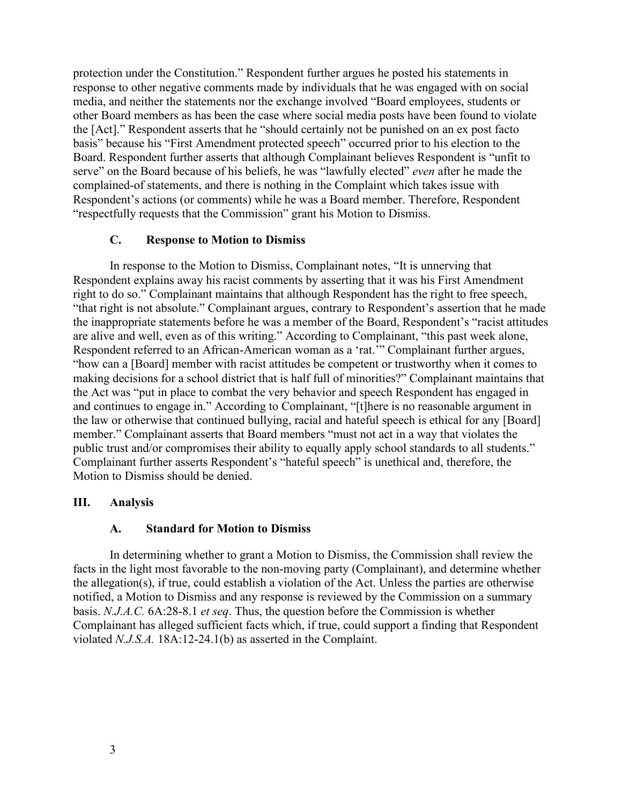protection under the Constitution." Respondent further argues he posted his statements in response to other negative comments made by individuals that he was engaged with on social media, and neither the statements nor the exchange involved "Board employees, students or other Board members as has been the case where social media posts have been found to violate the [Act]." Respondent asserts that he "should certainly not be punished on an ex post facto basis" because his "First Amendment protected speech" occurred prior to his election to the Board. Respondent further asserts that although Complainant believes Respondent is "unfit to serve" on the Board because of his beliefs, he was "lawfully elected" *even* after he made the complained-of statements, and there is nothing in the Complaint which takes issue with Respondent's actions (or comments) while he was a Board member. Therefore, Respondent "respectfully requests that the Commission" grant his Motion to Dismiss.

#### **C. Response to Motion to Dismiss**

In response to the Motion to Dismiss, Complainant notes, "It is unnerving that Respondent explains away his racist comments by asserting that it was his First Amendment right to do so." Complainant maintains that although Respondent has the right to free speech, "that right is not absolute." Complainant argues, contrary to Respondent's assertion that he made the inappropriate statements before he was a member of the Board, Respondent's "racist attitudes are alive and well, even as of this writing." According to Complainant, "this past week alone, Respondent referred to an African-American woman as a 'rat.'" Complainant further argues, "how can a [Board] member with racist attitudes be competent or trustworthy when it comes to making decisions for a school district that is half full of minorities?" Complainant maintains that the Act was "put in place to combat the very behavior and speech Respondent has engaged in and continues to engage in." According to Complainant, "[t]here is no reasonable argument in the law or otherwise that continued bullying, racial and hateful speech is ethical for any [Board] member." Complainant asserts that Board members "must not act in a way that violates the public trust and/or compromises their ability to equally apply school standards to all students." Complainant further asserts Respondent's "hateful speech" is unethical and, therefore, the Motion to Dismiss should be denied.

#### **III. Analysis**

#### **A. Standard for Motion to Dismiss**

In determining whether to grant a Motion to Dismiss, the Commission shall review the facts in the light most favorable to the non-moving party (Complainant), and determine whether the allegation(s), if true, could establish a violation of the Act. Unless the parties are otherwise notified, a Motion to Dismiss and any response is reviewed by the Commission on a summary basis. *N.J.A.C.* 6A:28-8.1 *et seq*. Thus, the question before the Commission is whether Complainant has alleged sufficient facts which, if true, could support a finding that Respondent violated *N.J.S.A.* 18A:12-24.1(b) as asserted in the Complaint.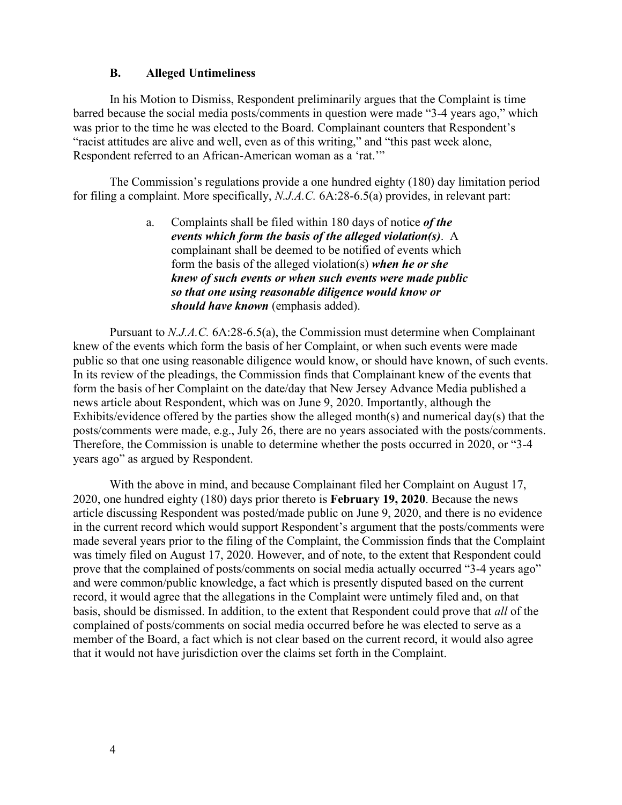#### **B. Alleged Untimeliness**

In his Motion to Dismiss, Respondent preliminarily argues that the Complaint is time barred because the social media posts/comments in question were made "3-4 years ago," which was prior to the time he was elected to the Board. Complainant counters that Respondent's "racist attitudes are alive and well, even as of this writing," and "this past week alone, Respondent referred to an African-American woman as a 'rat.'"

The Commission's regulations provide a one hundred eighty (180) day limitation period for filing a complaint. More specifically, *N.J.A.C.* 6A:28-6.5(a) provides, in relevant part:

> a. Complaints shall be filed within 180 days of notice *of the events which form the basis of the alleged violation(s)*. A complainant shall be deemed to be notified of events which form the basis of the alleged violation(s) *when he or she knew of such events or when such events were made public so that one using reasonable diligence would know or should have known* (emphasis added).

Pursuant to *N.J.A.C.* 6A:28-6.5(a), the Commission must determine when Complainant knew of the events which form the basis of her Complaint, or when such events were made public so that one using reasonable diligence would know, or should have known, of such events. In its review of the pleadings, the Commission finds that Complainant knew of the events that form the basis of her Complaint on the date/day that New Jersey Advance Media published a news article about Respondent, which was on June 9, 2020. Importantly, although the Exhibits/evidence offered by the parties show the alleged month(s) and numerical day(s) that the posts/comments were made, e.g., July 26, there are no years associated with the posts/comments. Therefore, the Commission is unable to determine whether the posts occurred in 2020, or "3-4 years ago" as argued by Respondent.

With the above in mind, and because Complainant filed her Complaint on August 17, 2020, one hundred eighty (180) days prior thereto is **February 19, 2020**. Because the news article discussing Respondent was posted/made public on June 9, 2020, and there is no evidence in the current record which would support Respondent's argument that the posts/comments were made several years prior to the filing of the Complaint, the Commission finds that the Complaint was timely filed on August 17, 2020. However, and of note, to the extent that Respondent could prove that the complained of posts/comments on social media actually occurred "3-4 years ago" and were common/public knowledge, a fact which is presently disputed based on the current record, it would agree that the allegations in the Complaint were untimely filed and, on that basis, should be dismissed. In addition, to the extent that Respondent could prove that *all* of the complained of posts/comments on social media occurred before he was elected to serve as a member of the Board, a fact which is not clear based on the current record, it would also agree that it would not have jurisdiction over the claims set forth in the Complaint.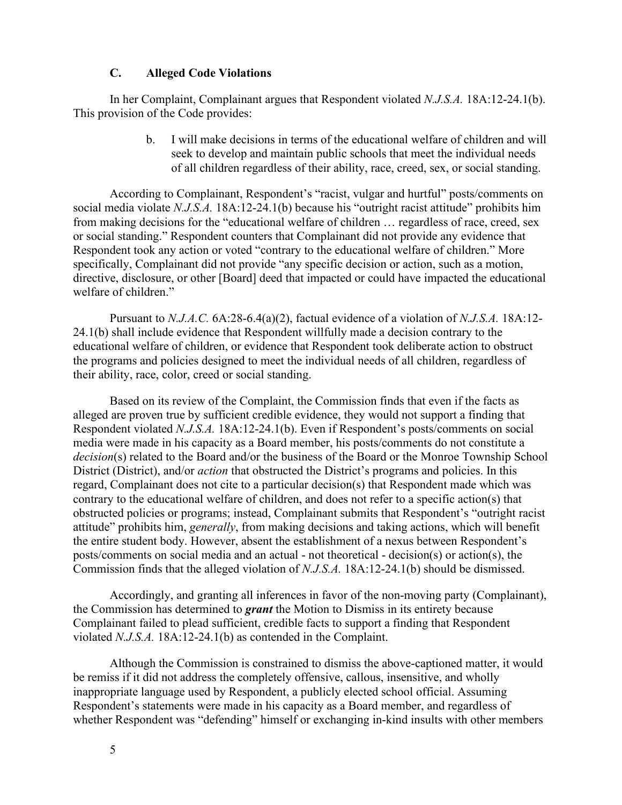#### **C. Alleged Code Violations**

In her Complaint, Complainant argues that Respondent violated *N.J.S.A.* 18A:12-24.1(b). This provision of the Code provides:

> b. I will make decisions in terms of the educational welfare of children and will seek to develop and maintain public schools that meet the individual needs of all children regardless of their ability, race, creed, sex, or social standing.

According to Complainant, Respondent's "racist, vulgar and hurtful" posts/comments on social media violate *N.J.S.A.* 18A:12-24.1(b) because his "outright racist attitude" prohibits him from making decisions for the "educational welfare of children … regardless of race, creed, sex or social standing." Respondent counters that Complainant did not provide any evidence that Respondent took any action or voted "contrary to the educational welfare of children." More specifically, Complainant did not provide "any specific decision or action, such as a motion, directive, disclosure, or other [Board] deed that impacted or could have impacted the educational welfare of children."

Pursuant to *N.J.A.C.* 6A:28-6.4(a)(2), factual evidence of a violation of *N.J.S.A.* 18A:12- 24.1(b) shall include evidence that Respondent willfully made a decision contrary to the educational welfare of children, or evidence that Respondent took deliberate action to obstruct the programs and policies designed to meet the individual needs of all children, regardless of their ability, race, color, creed or social standing.

Based on its review of the Complaint, the Commission finds that even if the facts as alleged are proven true by sufficient credible evidence, they would not support a finding that Respondent violated *N.J.S.A.* 18A:12-24.1(b). Even if Respondent's posts/comments on social media were made in his capacity as a Board member, his posts/comments do not constitute a *decision*(s) related to the Board and/or the business of the Board or the Monroe Township School District (District), and/or *action* that obstructed the District's programs and policies. In this regard, Complainant does not cite to a particular decision(s) that Respondent made which was contrary to the educational welfare of children, and does not refer to a specific action(s) that obstructed policies or programs; instead, Complainant submits that Respondent's "outright racist attitude" prohibits him, *generally*, from making decisions and taking actions, which will benefit the entire student body. However, absent the establishment of a nexus between Respondent's posts/comments on social media and an actual - not theoretical - decision(s) or action(s), the Commission finds that the alleged violation of *N.J.S.A.* 18A:12-24.1(b) should be dismissed.

Accordingly, and granting all inferences in favor of the non-moving party (Complainant), the Commission has determined to *grant* the Motion to Dismiss in its entirety because Complainant failed to plead sufficient, credible facts to support a finding that Respondent violated *N.J.S.A.* 18A:12-24.1(b) as contended in the Complaint.

Although the Commission is constrained to dismiss the above-captioned matter, it would be remiss if it did not address the completely offensive, callous, insensitive, and wholly inappropriate language used by Respondent, a publicly elected school official. Assuming Respondent's statements were made in his capacity as a Board member, and regardless of whether Respondent was "defending" himself or exchanging in-kind insults with other members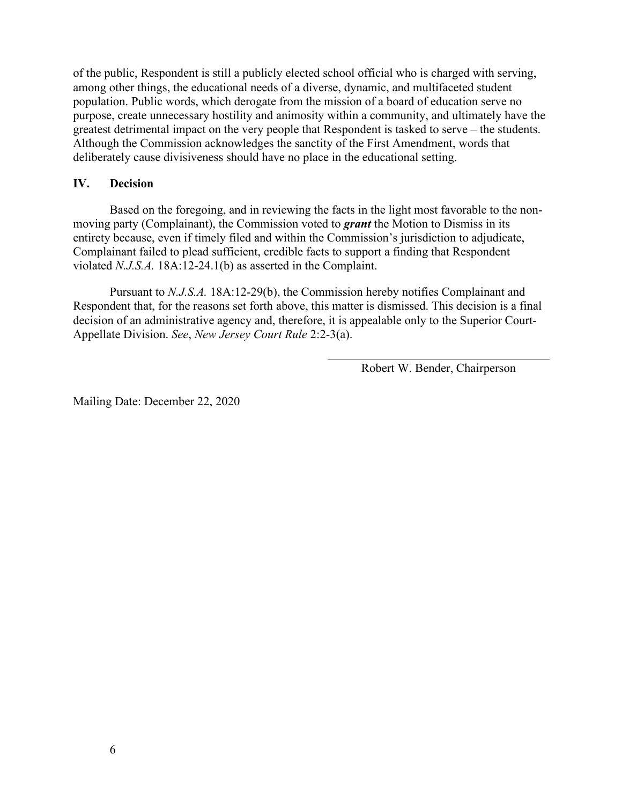of the public, Respondent is still a publicly elected school official who is charged with serving, among other things, the educational needs of a diverse, dynamic, and multifaceted student population. Public words, which derogate from the mission of a board of education serve no purpose, create unnecessary hostility and animosity within a community, and ultimately have the greatest detrimental impact on the very people that Respondent is tasked to serve – the students. Although the Commission acknowledges the sanctity of the First Amendment, words that deliberately cause divisiveness should have no place in the educational setting.

### **IV. Decision**

Based on the foregoing, and in reviewing the facts in the light most favorable to the nonmoving party (Complainant), the Commission voted to *grant* the Motion to Dismiss in its entirety because, even if timely filed and within the Commission's jurisdiction to adjudicate, Complainant failed to plead sufficient, credible facts to support a finding that Respondent violated *N.J.S.A.* 18A:12-24.1(b) as asserted in the Complaint.

Pursuant to *N.J.S.A.* 18A:12-29(b), the Commission hereby notifies Complainant and Respondent that, for the reasons set forth above, this matter is dismissed. This decision is a final decision of an administrative agency and, therefore, it is appealable only to the Superior Court-Appellate Division. *See*, *New Jersey Court Rule* 2:2-3(a).

Robert W. Bender, Chairperson

Mailing Date: December 22, 2020